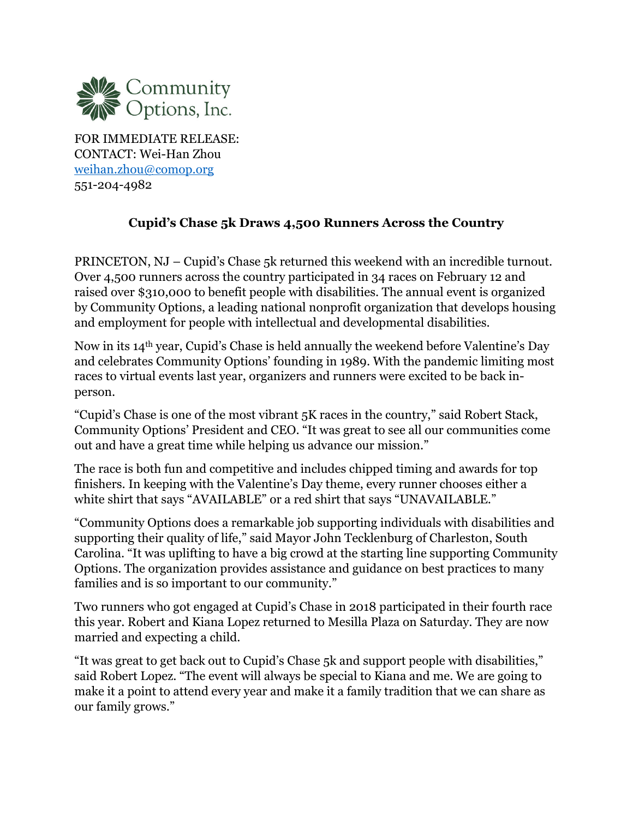

FOR IMMEDIATE RELEASE: CONTACT: Wei-Han Zhou weihan.zhou@comop.org 551-204-4982

## **Cupid's Chase 5k Draws 4,500 Runners Across the Country**

PRINCETON, NJ – Cupid's Chase 5k returned this weekend with an incredible turnout. Over 4,500 runners across the country participated in 34 races on February 12 and raised over \$310,000 to benefit people with disabilities. The annual event is organized by Community Options, a leading national nonprofit organization that develops housing and employment for people with intellectual and developmental disabilities.

Now in its 14th year, Cupid's Chase is held annually the weekend before Valentine's Day and celebrates Community Options' founding in 1989. With the pandemic limiting most races to virtual events last year, organizers and runners were excited to be back inperson.

"Cupid's Chase is one of the most vibrant 5K races in the country," said Robert Stack, Community Options' President and CEO. "It was great to see all our communities come out and have a great time while helping us advance our mission."

The race is both fun and competitive and includes chipped timing and awards for top finishers. In keeping with the Valentine's Day theme, every runner chooses either a white shirt that says "AVAILABLE" or a red shirt that says "UNAVAILABLE."

"Community Options does a remarkable job supporting individuals with disabilities and supporting their quality of life," said Mayor John Tecklenburg of Charleston, South Carolina. "It was uplifting to have a big crowd at the starting line supporting Community Options. The organization provides assistance and guidance on best practices to many families and is so important to our community."

Two runners who got engaged at Cupid's Chase in 2018 participated in their fourth race this year. Robert and Kiana Lopez returned to Mesilla Plaza on Saturday. They are now married and expecting a child.

"It was great to get back out to Cupid's Chase 5k and support people with disabilities," said Robert Lopez. "The event will always be special to Kiana and me. We are going to make it a point to attend every year and make it a family tradition that we can share as our family grows."